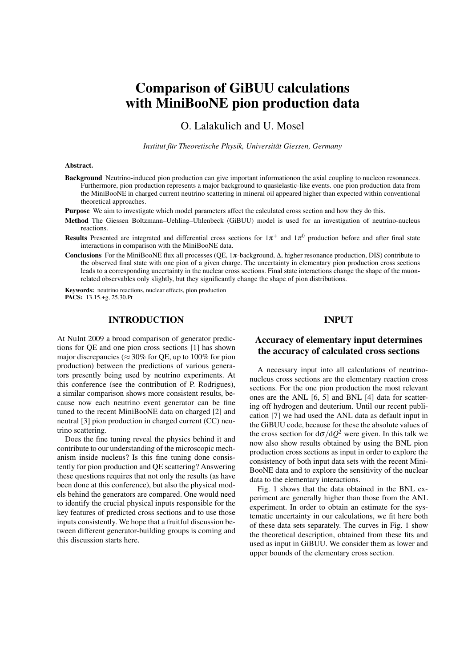# Comparison of GiBUU calculations with MiniBooNE pion production data

O. Lalakulich and U. Mosel

*Institut für Theoretische Physik, Universität Giessen, Germany*

#### Abstract.

Background Neutrino-induced pion production can give important informationon the axial coupling to nucleon resonances. Furthermore, pion production represents a major background to quasielastic-like events. one pion production data from the MiniBooNE in charged current neutrino scattering in mineral oil appeared higher than expected within conventional theoretical approaches.

Purpose We aim to investigate which model parameters affect the calculated cross section and how they do this.

- Method The Giessen Boltzmann–Uehling–Uhlenbeck (GiBUU) model is used for an investigation of neutrino-nucleus reactions.
- **Results** Presented are integrated and differential cross sections for  $1\pi^+$  and  $1\pi^0$  production before and after final state interactions in comparison with the MiniBooNE data.
- Conclusions For the MiniBooNE flux all processes (QE, 1π-background, ∆, higher resonance production, DIS) contribute to the observed final state with one pion of a given charge. The uncertainty in elementary pion production cross sections leads to a corresponding uncertainty in the nuclear cross sections. Final state interactions change the shape of the muonrelated observables only slightly, but they significantly change the shape of pion distributions.

Keywords: neutrino reactions, nuclear effects, pion production PACS: 13.15.+g, 25.30.Pt

## INTRODUCTION

At NuInt 2009 a broad comparison of generator predictions for QE and one pion cross sections [1] has shown major discrepancies ( $\approx$  30% for QE, up to 100% for pion production) between the predictions of various generators presently being used by neutrino experiments. At this conference (see the contribution of P. Rodrigues), a similar comparison shows more consistent results, because now each neutrino event generator can be fine tuned to the recent MiniBooNE data on charged [2] and neutral [3] pion production in charged current (CC) neutrino scattering.

Does the fine tuning reveal the physics behind it and contribute to our understanding of the microscopic mechanism inside nucleus? Is this fine tuning done consistently for pion production and QE scattering? Answering these questions requires that not only the results (as have been done at this conference), but also the physical models behind the generators are compared. One would need to identify the crucial physical inputs responsible for the key features of predicted cross sections and to use those inputs consistently. We hope that a fruitful discussion between different generator-building groups is coming and this discussion starts here.

### INPUT

#### Accuracy of elementary input determines the accuracy of calculated cross sections

A necessary input into all calculations of neutrinonucleus cross sections are the elementary reaction cross sections. For the one pion production the most relevant ones are the ANL [6, 5] and BNL [4] data for scattering off hydrogen and deuterium. Until our recent publication [7] we had used the ANL data as default input in the GiBUU code, because for these the absolute values of the cross section for  $d\sigma/dQ^2$  were given. In this talk we now also show results obtained by using the BNL pion production cross sections as input in order to explore the consistency of both input data sets with the recent Mini-BooNE data and to explore the sensitivity of the nuclear data to the elementary interactions.

Fig. 1 shows that the data obtained in the BNL experiment are generally higher than those from the ANL experiment. In order to obtain an estimate for the systematic uncertainty in our calculations, we fit here both of these data sets separately. The curves in Fig. 1 show the theoretical description, obtained from these fits and used as input in GiBUU. We consider them as lower and upper bounds of the elementary cross section.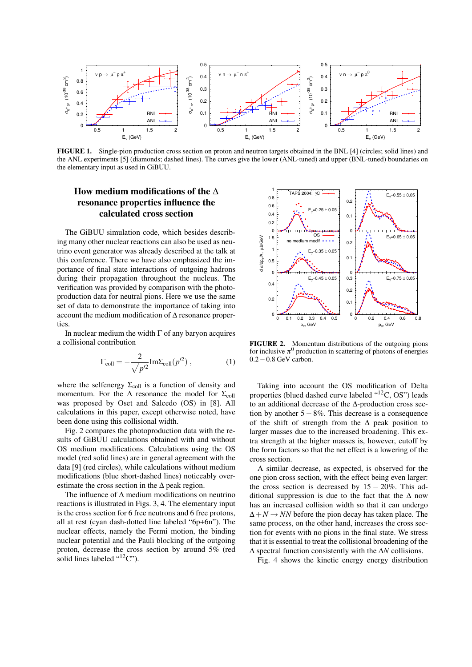

FIGURE 1. Single-pion production cross section on proton and neutron targets obtained in the BNL [4] (circles; solid lines) and the ANL experiments [5] (diamonds; dashed lines). The curves give the lower (ANL-tuned) and upper (BNL-tuned) boundaries on the elementary input as used in GiBUU.

# How medium modifications of the ∆ resonance properties influence the calculated cross section

The GiBUU simulation code, which besides describing many other nuclear reactions can also be used as neutrino event generator was already described at the talk at this conference. There we have also emphasized the importance of final state interactions of outgoing hadrons during their propagation throughout the nucleus. The verification was provided by comparison with the photoproduction data for neutral pions. Here we use the same set of data to demonstrate the importance of taking into account the medium modification of ∆ resonance properties.

In nuclear medium the width  $\Gamma$  of any baryon acquires a collisional contribution

$$
\Gamma_{\text{coll}} = -\frac{2}{\sqrt{p'^2}} \text{Im} \Sigma_{\text{coll}}(p'^2) , \qquad (1)
$$

where the selfenergy  $\Sigma_{\text{coll}}$  is a function of density and momentum. For the  $\Delta$  resonance the model for  $\Sigma_{\text{coll}}$ was proposed by Oset and Salcedo (OS) in [8]. All calculations in this paper, except otherwise noted, have been done using this collisional width.

Fig. 2 compares the photoproduction data with the results of GiBUU calculations obtained with and without OS medium modifications. Calculations using the OS model (red solid lines) are in general agreement with the data [9] (red circles), while calculations without medium modifications (blue short-dashed lines) noticeably overestimate the cross section in the  $\Delta$  peak region.

The influence of ∆ medium modifications on neutrino reactions is illustrated in Figs. 3, 4. The elementary input is the cross section for 6 free neutrons and 6 free protons, all at rest (cyan dash-dotted line labeled "6p+6n"). The nuclear effects, namely the Fermi motion, the binding nuclear potential and the Pauli blocking of the outgoing proton, decrease the cross section by around 5% (red solid lines labeled " $12$ C").



FIGURE 2. Momentum distributions of the outgoing pions for inclusive  $\pi^0$  production in scattering of photons of energies 0.2−0.8 GeV carbon.

Taking into account the OS modification of Delta properties (blued dashed curve labeled "<sup>12</sup>C, OS") leads to an additional decrease of the ∆-production cross section by another  $5 - 8\%$ . This decrease is a consequence of the shift of strength from the  $\Delta$  peak position to larger masses due to the increased broadening. This extra strength at the higher masses is, however, cutoff by the form factors so that the net effect is a lowering of the cross section.

A similar decrease, as expected, is observed for the one pion cross section, with the effect being even larger: the cross section is decreased by  $15 - 20\%$ . This additional suppression is due to the fact that the  $\Delta$  now has an increased collision width so that it can undergo  $\Delta + N \rightarrow NN$  before the pion decay has taken place. The same process, on the other hand, increases the cross section for events with no pions in the final state. We stress that it is essential to treat the collisional broadening of the ∆ spectral function consistently with the ∆*N* collisions.

Fig. 4 shows the kinetic energy energy distribution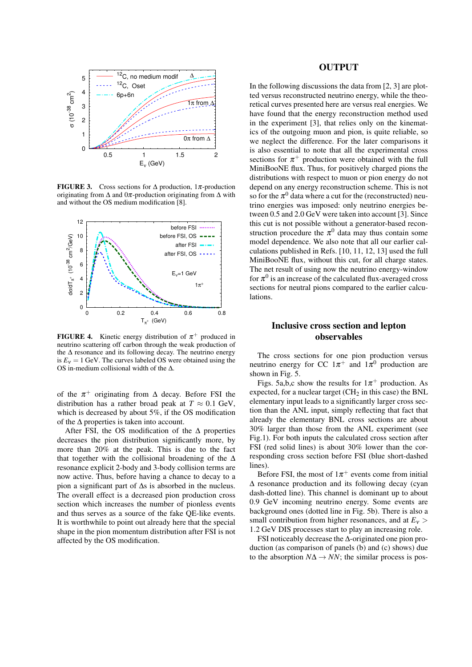

FIGURE 3. Cross sections for  $\Delta$  production, 1 $\pi$ -production originating from  $\Delta$  and 0 $\pi$ -production originating from  $\Delta$  with and without the OS medium modification [8].



**FIGURE 4.** Kinetic energy distribution of  $\pi^{+}$  produced in neutrino scattering off carbon through the weak production of the ∆ resonance and its following decay. The neutrino energy is  $E<sub>v</sub> = 1$  GeV. The curves labeled OS were obtained using the OS in-medium collisional width of the ∆.

of the  $\pi^+$  originating from  $\Delta$  decay. Before FSI the distribution has a rather broad peak at  $T \approx 0.1$  GeV, which is decreased by about 5%, if the OS modification of the ∆ properties is taken into account.

After FSI, the OS modification of the  $\Delta$  properties decreases the pion distribution significantly more, by more than 20% at the peak. This is due to the fact that together with the collisional broadening of the  $\Delta$ resonance explicit 2-body and 3-body collision terms are now active. Thus, before having a chance to decay to a pion a significant part of ∆s is absorbed in the nucleus. The overall effect is a decreased pion production cross section which increases the number of pionless events and thus serves as a source of the fake QE-like events. It is worthwhile to point out already here that the special shape in the pion momentum distribution after FSI is not affected by the OS modification.

#### OUTPUT

In the following discussions the data from [2, 3] are plotted versus reconstructed neutrino energy, while the theoretical curves presented here are versus real energies. We have found that the energy reconstruction method used in the experiment [3], that relies only on the kinematics of the outgoing muon and pion, is quite reliable, so we neglect the difference. For the later comparisons it is also essential to note that all the experimental cross sections for  $\pi^+$  production were obtained with the full MiniBooNE flux. Thus, for positively charged pions the distributions with respect to muon or pion energy do not depend on any energy reconstruction scheme. This is not so for the  $\pi^0$  data where a cut for the (reconstructed) neutrino energies was imposed: only neutrino energies between 0.5 and 2.0 GeV were taken into account [3]. Since this cut is not possible without a generator-based reconstruction procedure the  $\pi^0$  data may thus contain some model dependence. We also note that all our earlier calculations published in Refs. [10, 11, 12, 13] used the full MiniBooNE flux, without this cut, for all charge states. The net result of using now the neutrino energy-window for  $\pi^0$  is an increase of the calculated flux-averaged cross sections for neutral pions compared to the earlier calculations.

# Inclusive cross section and lepton observables

The cross sections for one pion production versus neutrino energy for CC  $1\pi^+$  and  $1\pi^0$  production are shown in Fig. 5.

Figs. 5a,b,c show the results for  $1\pi^+$  production. As expected, for a nuclear target  $(CH_2$  in this case) the BNL elementary input leads to a significantly larger cross section than the ANL input, simply reflecting that fact that already the elementary BNL cross sections are about 30% larger than those from the ANL experiment (see Fig.1). For both inputs the calculated cross section after FSI (red solid lines) is about 30% lower than the corresponding cross section before FSI (blue short-dashed lines).

Before FSI, the most of  $1\pi^+$  events come from initial ∆ resonance production and its following decay (cyan dash-dotted line). This channel is dominant up to about 0.9 GeV incoming neutrino energy. Some events are background ones (dotted line in Fig. 5b). There is also a small contribution from higher resonances, and at  $E_v$ 1.2 GeV DIS processes start to play an increasing role.

FSI noticeably decrease the ∆-originated one pion production (as comparison of panels (b) and (c) shows) due to the absorption  $N\Delta \rightarrow NN$ ; the similar process is pos-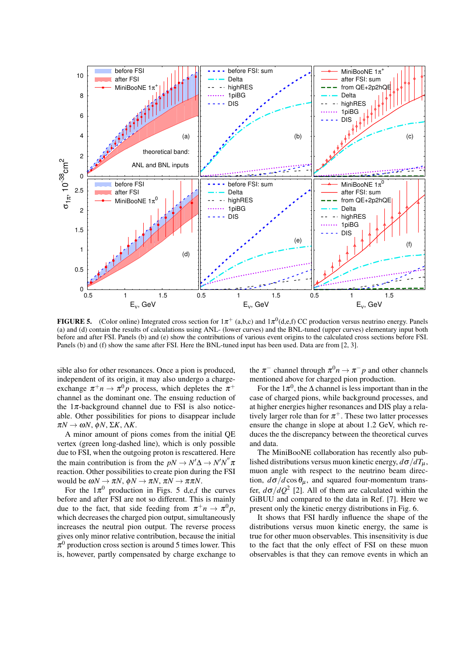

**FIGURE 5.** (Color online) Integrated cross section for  $1\pi^+$  (a,b,c) and  $1\pi^0$ (d,e,f) CC production versus neutrino energy. Panels (a) and (d) contain the results of calculations using ANL- (lower curves) and the BNL-tuned (upper curves) elementary input both before and after FSI. Panels (b) and (e) show the contributions of various event origins to the calculated cross sections before FSI. Panels (b) and (f) show the same after FSI. Here the BNL-tuned input has been used. Data are from [2, 3].

sible also for other resonances. Once a pion is produced, independent of its origin, it may also undergo a chargeexchange  $\pi^+ n \to \pi^0 p$  process, which depletes the  $\pi^+$ channel as the dominant one. The ensuing reduction of the  $1\pi$ -background channel due to FSI is also noticeable. Other possibilities for pions to disappear include π*N* → ω*N*, φ*N*, Σ*K*, Λ*K*.

A minor amount of pions comes from the initial QE vertex (green long-dashed line), which is only possible due to FSI, when the outgoing proton is rescattered. Here the main contribution is from the  $pN \to N'\Delta \to N'N''\pi$ reaction. Other possibilities to create pion during the FSI would be  $\omega N \to \pi N$ ,  $\phi N \to \pi N$ ,  $\pi N \to \pi \pi N$ .

For the  $1\pi^0$  production in Figs. 5 d,e,f the curves before and after FSI are not so different. This is mainly due to the fact, that side feeding from  $\pi^+ n \to \pi^0 p$ , which decreases the charged pion output, simultaneously increases the neutral pion output. The reverse process gives only minor relative contribution, because the initial  $\pi^0$  production cross section is around 5 times lower. This is, however, partly compensated by charge exchange to

the  $\pi^-$  channel through  $\pi^0 n \to \pi^- p$  and other channels mentioned above for charged pion production.

For the  $1\pi^0$ , the  $\Delta$  channel is less important than in the case of charged pions, while background processes, and at higher energies higher resonances and DIS play a relatively larger role than for  $\pi^+$ . These two latter processes ensure the change in slope at about 1.2 GeV, which reduces the the discrepancy between the theoretical curves and data.

The MiniBooNE collaboration has recently also published distributions versus muon kinetic energy,  $d\sigma/dT_u$ , muon angle with respect to the neutrino beam direction,  $d\sigma/d\cos\theta_\mu$ , and squared four-momentum transfer,  $d\sigma/dQ^2$  [2]. All of them are calculated within the GiBUU and compared to the data in Ref. [7]. Here we present only the kinetic energy distributions in Fig. 6.

It shows that FSI hardly influence the shape of the distributions versus muon kinetic energy, the same is true for other muon observables. This insensitivity is due to the fact that the only effect of FSI on these muon observables is that they can remove events in which an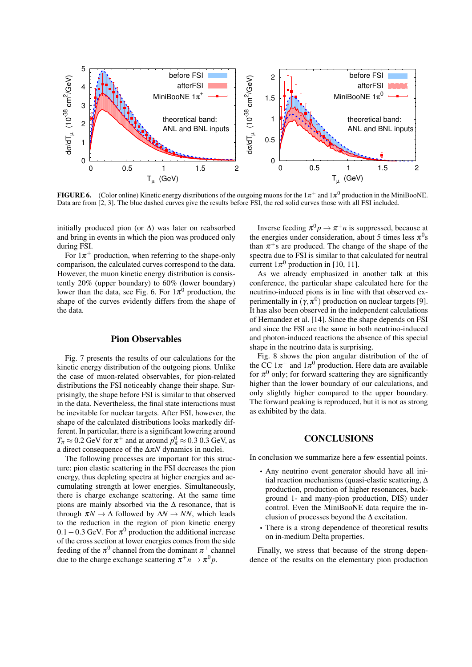

FIGURE 6. (Color online) Kinetic energy distributions of the outgoing muons for the  $1\pi^+$  and  $1\pi^0$  production in the MiniBooNE. Data are from [2, 3]. The blue dashed curves give the results before FSI, the red solid curves those with all FSI included.

initially produced pion (or  $\Delta$ ) was later on reabsorbed and bring in events in which the pion was produced only during FSI.

For  $1\pi^+$  production, when referring to the shape-only comparison, the calculated curves correspond to the data. However, the muon kinetic energy distribution is consistently 20% (upper boundary) to 60% (lower boundary) lower than the data, see Fig. 6. For  $1\pi^0$  production, the shape of the curves evidently differs from the shape of the data.

#### Pion Observables

Fig. 7 presents the results of our calculations for the kinetic energy distribution of the outgoing pions. Unlike the case of muon-related observables, for pion-related distributions the FSI noticeably change their shape. Surprisingly, the shape before FSI is similar to that observed in the data. Nevertheless, the final state interactions must be inevitable for nuclear targets. After FSI, however, the shape of the calculated distributions looks markedly different. In particular, there is a significant lowering around  $T_{\pi} \approx 0.2$  GeV for  $\pi^{+}$  and at around  $p_{\pi}^{0} \approx 0.3$  0.3 GeV, as a direct consequence of the ∆π*N* dynamics in nuclei.

The following processes are important for this structure: pion elastic scattering in the FSI decreases the pion energy, thus depleting spectra at higher energies and accumulating strength at lower energies. Simultaneously, there is charge exchange scattering. At the same time pions are mainly absorbed via the  $\Delta$  resonance, that is through  $\pi N \to \Delta$  followed by  $\Delta N \to NN$ , which leads to the reduction in the region of pion kinetic energy  $0.1 - 0.3$  GeV. For  $\pi^0$  production the additional increase of the cross section at lower energies comes from the side feeding of the  $\pi^0$  channel from the dominant  $\pi^+$  channel due to the charge exchange scattering  $\pi^+ n \to \pi^0 p$ .

Inverse feeding  $\pi^0 p \to \pi^+ n$  is suppressed, because at the energies under consideration, about 5 times less  $\pi^0$ s than  $\pi$ <sup>+</sup>s are produced. The change of the shape of the spectra due to FSI is similar to that calculated for neutral current  $1\pi^0$  production in [10, 11].

As we already emphasized in another talk at this conference, the particular shape calculated here for the neutrino-induced pions is in line with that observed experimentally in  $(\gamma, \pi^0)$  production on nuclear targets [9]. It has also been observed in the independent calculations of Hernandez et al. [14]. Since the shape depends on FSI and since the FSI are the same in both neutrino-induced and photon-induced reactions the absence of this special shape in the neutrino data is surprising.

Fig. 8 shows the pion angular distribution of the of the CC  $1\pi^+$  and  $1\pi^0$  production. Here data are available for  $\pi^0$  only; for forward scattering they are significantly higher than the lower boundary of our calculations, and only slightly higher compared to the upper boundary. The forward peaking is reproduced, but it is not as strong as exhibited by the data.

#### **CONCLUSIONS**

In conclusion we summarize here a few essential points.

- Any neutrino event generator should have all initial reaction mechanisms (quasi-elastic scattering, ∆ production, production of higher resonances, background 1- and many-pion production, DIS) under control. Even the MiniBooNE data require the inclusion of processes beyond the  $\Delta$  excitation.
- There is a strong dependence of theoretical results on in-medium Delta properties.

Finally, we stress that because of the strong dependence of the results on the elementary pion production